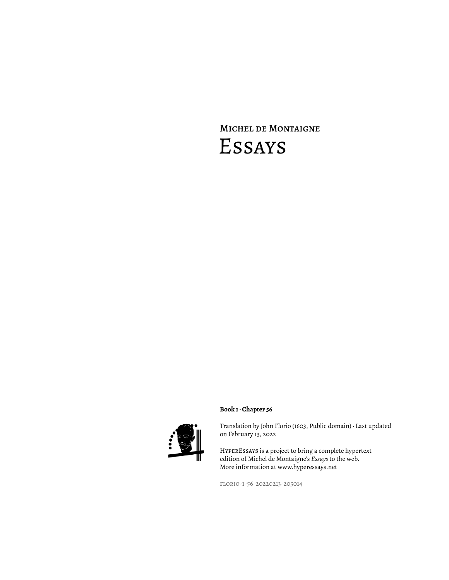# Michel de Montaigne Essays



## **Book 1 · Chapter 56**

Translation by John Florio (1603, Public domain) · Last updated on February 13, 2022

HyperEssays is a project to bring a complete hypertext edition of Michel de Montaigne's *Essays* to the web. More information at www.hyperessays.net

florio-1-56-20220213-205014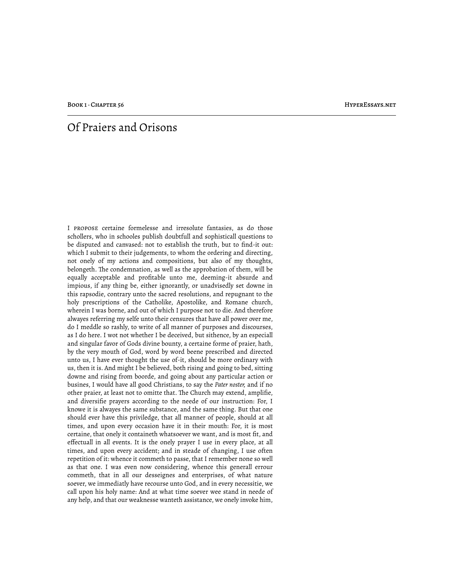BOOK 1 · CHAPTER 56 HYPERESSAYS.NET

# Of Praiers and Orisons

I propose certaine formelesse and irresolute fantasies, as do those schollers, who in schooles publish doubtfull and sophisticall questions to be disputed and canvased: not to establish the truth, but to find-it out: which I submit to their judgements, to whom the ordering and directing, not onely of my actions and compositions, but also of my thoughts, belongeth. The condemnation, as well as the approbation of them, will be equally acceptable and profitable unto me, deeming-it absurde and impious, if any thing be, either ignorantly, or unadvisedly set downe in this rapsodie, contrary unto the sacred resolutions, and repugnant to the holy prescriptions of the Catholike, Apostolike, and Romane church, wherein I was borne, and out of which I purpose not to die. And therefore alwayes referring my selfe unto their censures that have all power over me, do I meddle so rashly, to write of all manner of purposes and discourses, as I do here. I wot not whether I be deceived, but sithence, by an especiall and singular favor of Gods divine bounty, a certaine forme of praier, hath, by the very mouth of God, word by word beene prescribed and directed unto us, I have ever thought the use of-it, should be more ordinary with us, then it is. And might I be believed, both rising and going to bed, sitting downe and rising from boorde, and going about any particular action or busines, I would have all good Christians, to say the *Pater noster,* and if no other praier, at least not to omitte that. The Church may extend, amplifie, and diversifie prayers according to the neede of our instruction: For, I knowe it is alwayes the same substance, and the same thing. But that one should ever have this priviledge, that all manner of people, should at all times, and upon every occasion have it in their mouth: For, it is most certaine, that onely it containeth whatsoever we want, and is most fit, and effectuall in all events. It is the onely prayer I use in every place, at all times, and upon every accident; and in steade of changing, I use often repetition of it: whence it commeth to passe, that I remember none so well as that one. I was even now considering, whence this generall errour commeth, that in all our desseignes and enterprises, of what nature soever, we immediatly have recourse unto God, and in every necessitie, we call upon his holy name: And at what time soever wee stand in neede of any help, and that our weaknesse wanteth assistance, we onely invoke him,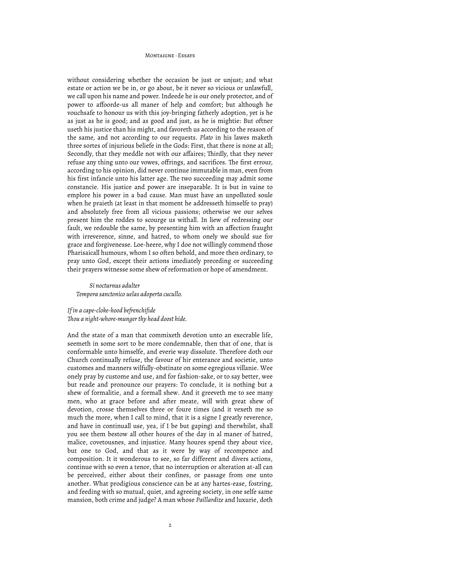without considering whether the occasion be just or unjust; and what estate or action we be in, or go about, be it never so vicious or unlawfull, we call upon his name and power. Indeede he is our onely protector, and of power to affoorde-us all maner of help and comfort; but although he vouchsafe to honour us with this joy-bringing fatherly adoption, yet is he as just as he is good; and as good and just, as he is mightie: But oftner useth his justice than his might, and favoreth us according to the reason of the same, and not according to our requests. *Plato* in his lawes maketh three sortes of injurious beliefe in the Gods: First, that there is none at all; Secondly, that they meddle not with our affaires; Thirdly, that they never refuse any thing unto our vowes, offrings, and sacrifices. The first errour, according to his opinion, did never continue immutable in man, even from his first infancie unto his latter age. The two succeeding may admit some constancie. His justice and power are inseparable. It is but in vaine to emplore his power in a bad cause. Man must have an unpolluted soule when he praieth (at least in that moment he addresseth himselfe to pray) and absolutely free from all vicious passions; otherwise we our selves present him the roddes to scourge us withall. In liew of redressing our fault, we redouble the same, by presenting him with an affection fraught with irreverence, sinne, and hatred, to whom onely we should sue for grace and forgivenesse. Loe-heere, why I doe not willingly commend those Pharisaicall humours, whom I so often behold, and more then ordinary, to pray unto God, except their actions imediately preceding or succeeding their prayers witnesse some shew of reformation or hope of amendment.

*Si nocturnus adulter Tempora sanctonico uelas adoperta cucullo.*

### *If in a cape-cloke-hood befrenchifide*

*!ou a night-whore-munger thy head doost hide.*

And the state of a man that commixeth devotion unto an execrable life, seemeth in some sort to be more condemnable, then that of one, that is conformable unto himselfe, and everie way dissolute. Therefore doth our Church continually refuse, the favour of hir enterance and societie, unto customes and manners wilfully-obstinate on some egregious villanie. Wee onely pray by custome and use, and for fashion-sake, or to say better, wee but reade and pronounce our prayers: To conclude, it is nothing but a shew of formalitie, and a formall shew. And it greeveth me to see many men, who at grace before and after meate, will with great shew of devotion, crosse themselves three or foure times (and it vexeth me so much the more, when I call to mind, that it is a signe I greatly reverence, and have in continuall use, yea, if I be but gaping) and therwhilst, shall you see them bestow all other houres of the day in al maner of hatred, malice, covetousnes, and injustice. Many houres spend they about vice, but one to God, and that as it were by way of recompence and composition. It it wonderous to see, so far different and divers actions, continue with so even a tenor, that no interruption or alteration at-all can be perceived, either about their confines, or passage from one unto another. What prodigious conscience can be at any hartes-ease, fostring, and feeding with so mutual, quiet, and agreeing society, in one selfe same mansion, both crime and judge? A man whose *Paillardize* and luxurie, doth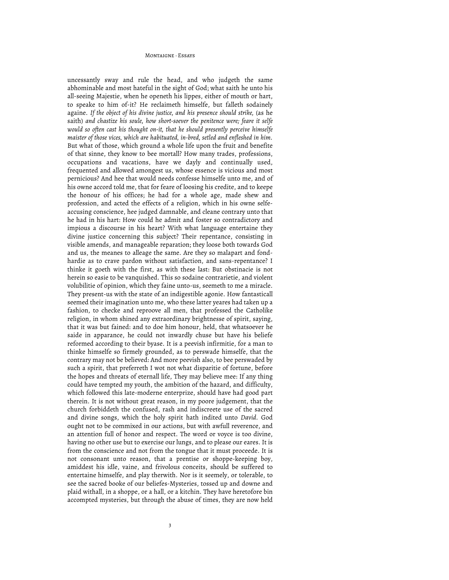uncessantly sway and rule the head, and who judgeth the same abhominable and most hateful in the sight of God; what saith he unto his all-seeing Majestie, when he openeth his lippes, either of mouth or hart, to speake to him of-it? He reclaimeth himselfe, but falleth sodainely againe. *If the object of his divine justice, and his presence should strike,* (as he saith) *and chastize his soule, how short-soever the penitence were; feare it selfe would so often cast his thought on-it, that he should presently perceive himselfe maister of those vices, which are habituated, in-bred, setled and enfleshed in him.* But what of those, which ground a whole life upon the fruit and benefite of that sinne, they know to bee mortall? How many trades, professions, occupations and vacations, have we dayly and continually used, frequented and allowed amongest us, whose essence is vicious and most pernicious? And hee that would needs confesse himselfe unto me, and of his owne accord told me, that for feare of loosing his credite, and to keepe the honour of his offices; he had for a whole age, made shew and profession, and acted the effects of a religion, which in his owne selfeaccusing conscience, hee judged damnable, and cleane contrary unto that he had in his hart: How could he admit and foster so contradictory and impious a discourse in his heart? With what language entertaine they divine justice concerning this subject? Their repentance, consisting in visible amends, and manageable reparation; they loose both towards God and us, the meanes to alleage the same. Are they so malapart and fondhardie as to crave pardon without satisfaction, and sans-repentance? I thinke it goeth with the first, as with these last: But obstinacie is not herein so easie to be vanquished. This so sodaine contrarietie, and violent volubilitie of opinion, which they faine unto-us, seemeth to me a miracle. They present-us with the state of an indigestible agonie. How fantasticall seemed their imagination unto me, who these latter yeares had taken up a fashion, to checke and reproove all men, that professed the Catholike religion, in whom shined any extraordinary brightnesse of spirit, saying, that it was but fained: and to doe him honour, held, that whatsoever he saide in apparance, he could not inwardly chuse but have his beliefe reformed according to their byase. It is a peevish infirmitie, for a man to thinke himselfe so firmely grounded, as to perswade himselfe, that the contrary may not be believed: And more peevish also, to bee perswaded by such a spirit, that preferreth I wot not what disparitie of fortune, before the hopes and threats of eternall life, They may believe mee: If any thing could have tempted my youth, the ambition of the hazard, and difficulty, which followed this late-moderne enterprize, should have had good part therein. It is not without great reason, in my poore judgement, that the church forbiddeth the confused, rash and indiscreete use of the sacred and divine songs, which the holy spirit hath indited unto *David.* God ought not to be commixed in our actions, but with awfull reverence, and an attention full of honor and respect. The word or voyce is too divine, having no other use but to exercise our lungs, and to please our eares. It is from the conscience and not from the tongue that it must proceede. It is not consonant unto reason, that a prentise or shoppe-keeping boy, amiddest his idle, vaine, and frivolous conceits, should be suffered to entertaine himselfe, and play therwith. Nor is it seemely, or tolerable, to see the sacred booke of our beliefes-Mysteries, tossed up and downe and plaid withall, in a shoppe, or a hall, or a kitchin. They have heretofore bin accompted mysteries, but through the abuse of times, they are now held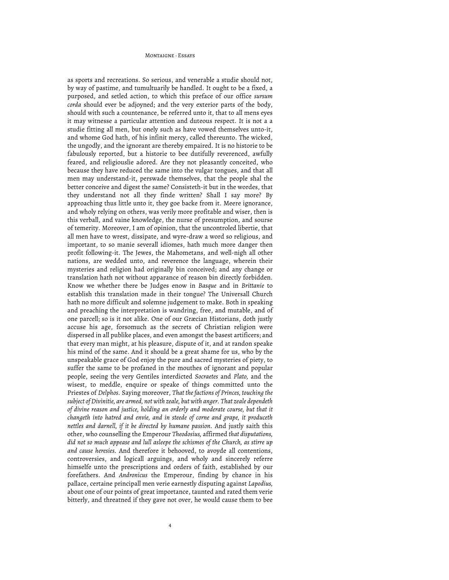as sports and recreations. So serious, and venerable a studie should not, by way of pastime, and tumultuarily be handled. It ought to be a fixed, a purposed, and setled action, to which this preface of our office *sursum corda* should ever be adjoyned; and the very exterior parts of the body, should with such a countenance, be referred unto it, that to all mens eyes it may witnesse a particular attention and duteous respect. It is not a a studie fitting all men, but onely such as have vowed themselves unto-it, and whome God hath, of his infinit mercy, called thereunto. The wicked, the ungodly, and the ignorant are thereby empaired. It is no historie to be fabulously reported, but a historie to bee dutifully reverenced, awfully feared, and religiouslie adored. Are they not pleasantly conceited, who because they have reduced the same into the vulgar tongues, and that all men may understand-it, perswade themselves, that the people shal the better conceive and digest the same? Consisteth-it but in the wordes, that they understand not all they finde written? Shall I say more? By approaching thus little unto it, they goe backe from it. Meere ignorance, and wholy relying on others, was verily more profitable and wiser, then is this verball, and vaine knowledge, the nurse of presumption, and sourse of temerity. Moreover, I am of opinion, that the uncontroled libertie, that all men have to wrest, dissipate, and wyre-draw a word so religious, and important, to so manie severall idiomes, hath much more danger then profit following-it. The Jewes, the Mahometans, and well-nigh all other nations, are wedded unto, and reverence the language, wherein their mysteries and religion had originally bin conceived; and any change or translation hath not without apparance of reason bin directly forbidden. Know we whether there be Judges enow in *Basque* and in *Brittanie* to establish this translation made in their tongue? The Universall Church hath no more difficult and solemne judgement to make. Both in speaking and preaching the interpretation is wandring, free, and mutable, and of one parcell; so is it not alike. One of our Græcian Historians, doth justly accuse his age, forsomuch as the secrets of Christian religion were dispersed in all publike places, and even amongst the basest artificers; and that every man might, at his pleasure, dispute of it, and at randon speake his mind of the same. And it should be a great shame for us, who by the unspeakable grace of God enjoy the pure and sacred mysteries of piety, to suffer the same to be profaned in the mouthes of ignorant and popular people, seeing the very Gentiles interdicted *Socraetes* and *Plato,* and the wisest, to meddle, enquire or speake of things committed unto the Priestes of *Delphos.* Saying moreover, *That the factions of Princes, touching the subject of Divinitie, are armed, not with zeale, but with anger. That zeale dependeth of divine reason and justice, holding an orderly and moderate course, but that it changeth into hatred and envie, and in steede of corne and grape, it produceth nettles and darnell, if it be directed by humane passion.* And justly saith this other, who counselling the Emperour *Theodosius,* affirmed *that disputations, did not so much appease and lull asleepe the schismes of the Church, as stirre up and cause heresies.* And therefore it behooved, to avoyde all contentions, controversies, and logicall arguings, and wholy and sincerely referre himselfe unto the prescriptions and orders of faith, established by our forefathers. And *Andronicus* the Emperour, finding by chance in his pallace, certaine principall men verie earnestly disputing against *Lapodius,* about one of our points of great importance, taunted and rated them verie bitterly, and threatned if they gave not over, he would cause them to bee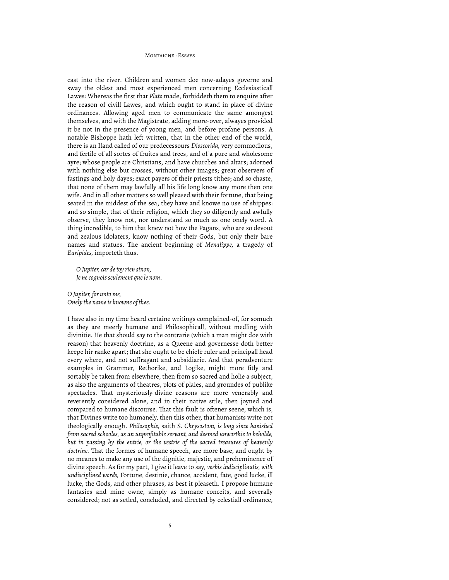cast into the river. Children and women doe now-adayes governe and sway the oldest and most experienced men concerning Ecclesiasticall Lawes: Whereas the first that *Plato* made, forbiddeth them to enquire after the reason of civill Lawes, and which ought to stand in place of divine ordinances. Allowing aged men to communicate the same amongest themselves, and with the Magistrate, adding more-over, alwayes provided it be not in the presence of yoong men, and before profane persons. A notable Bishoppe hath left written, that in the other end of the world, there is an Iland called of our predecessours *Dioscorida,* very commodious, and fertile of all sortes of fruites and trees, and of a pure and wholesome ayre; whose people are Christians, and have churches and altars; adorned with nothing else but crosses, without other images; great observers of fastings and holy dayes; exact payers of their priests tithes; and so chaste, that none of them may lawfully all his life long know any more then one wife. And in all other matters so well pleased with their fortune, that being seated in the middest of the sea, they have and knowe no use of shippes: and so simple, that of their religion, which they so diligently and awfully observe, they know not, nor understand so much as one onely word. A thing incredible, to him that knew not how the Pagans, who are so devout and zealous idolaters, know nothing of their Gods, but only their bare names and statues. The ancient beginning of *Menalippe,* a tragedy of *Euripides,* importeth thus.

*O Jupiter, car de toy rien sinon, Je ne cognois seulement que le nom.*

*O Jupiter, for unto me, Onely the name is knowne of thee.*

I have also in my time heard certaine writings complained-of, for somuch as they are meerly humane and Philosophicall, without medling with divinitie. He that should say to the contrarie (which a man might doe with reason) that heavenly doctrine, as a Queene and governesse doth better keepe hir ranke apart; that she ought to be chiefe ruler and principall head every where, and not suffragant and subsidiarie. And that peradventure examples in Grammer, Rethorike, and Logike, might more fitly and sortably be taken from elsewhere, then from so sacred and holie a subject, as also the arguments of theatres, plots of plaies, and groundes of publike spectacles. That mysteriously-divine reasons are more venerably and reverently considered alone, and in their native stile, then joyned and compared to humane discourse. That this fault is oftener seene, which is, that Divines write too humanely, then this other, that humanists write not theologically enough. *Philosophie,* saith S. *Chrysostom, is long since banished from sacred schooles, as an unprofitable servant, and deemed unworthie to beholde, but in passing by the entrie, or the vestrie of the sacred treasures of heavenly*  doctrine. That the formes of humane speech, are more base, and ought by no meanes to make any use of the dignitie, majestie, and preheminence of divine speech. As for my part, I give it leave to say, *verbis indisciplinatis, with undisciplined words,* Fortune, destinie, chance, accident, fate, good lucke, ill lucke, the Gods, and other phrases, as best it pleaseth. I propose humane fantasies and mine owne, simply as humane conceits, and severally considered; not as setled, concluded, and directed by celestiall ordinance,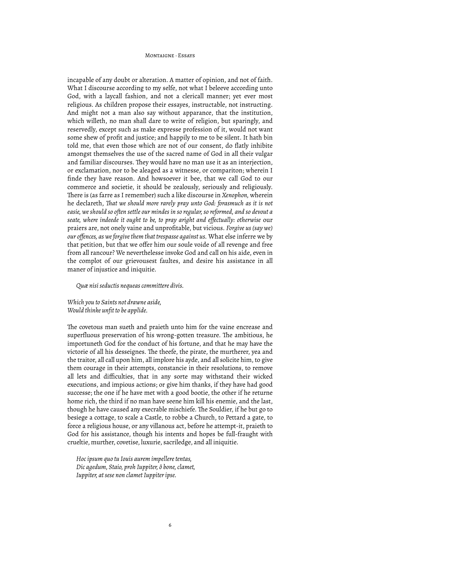incapable of any doubt or alteration. A matter of opinion, and not of faith. What I discourse according to my selfe, not what I beleeve according unto God, with a laycall fashion, and not a clericall manner; yet ever most religious. As children propose their essayes, instructable, not instructing. And might not a man also say without apparance, that the institution, which willeth, no man shall dare to write of religion, but sparingly, and reservedly, except such as make expresse profession of it, would not want some shew of profit and justice; and happily to me to be silent. It hath bin told me, that even those which are not of our consent, do flatly inhibite amongst themselves the use of the sacred name of God in all their vulgar and familiar discourses. They would have no man use it as an interjection, or exclamation, nor to be aleaged as a witnesse, or compariton; wherein I finde they have reason. And howsoever it bee, that we call God to our commerce and societie, it should be zealously, seriously and religiously. There is (as farre as I remember) such a like discourse in *Xenophon*, wherein he declareth, *!at we should more rarely pray unto God: forasmuch as it is not easie, we should so often settle our mindes in so regular, so reformed, and so devout a seate, where indeede it ought to be, to pray aright and effectually: otherwise* our praiers are, not onely vaine and unprofitable, but vicious. *Forgive us (say we) our offences, as we forgive them that trespasse against us.* What else inferre we by that petition, but that we offer him our soule voide of all revenge and free from all rancour? We neverthelesse invoke God and call on his aide, even in the complot of our grievousest faultes, and desire his assistance in all maner of injustice and iniquitie.

*Quæ nisi seductis nequeas committere divis.*

*Which you to Saints not drawne aside, Would thinke unfit to be applide.*

The covetous man sueth and praieth unto him for the vaine encrease and superfluous preservation of his wrong-gotten treasure. The ambitious, he importuneth God for the conduct of his fortune, and that he may have the victorie of all his desseignes. The theefe, the pirate, the murtherer, yea and the traitor, all call upon him, all implore his ayde, and all solicite him, to give them courage in their attempts, constancie in their resolutions, to remove all lets and difficulties, that in any sorte may withstand their wicked executions, and impious actions; or give him thanks, if they have had good successe; the one if he have met with a good bootie, the other if he returne home rich, the third if no man have seene him kill his enemie, and the last, though he have caused any execrable mischiefe. The Souldier, if he but go to besiege a cottage, to scale a Castle, to robbe a Church, to Pettard a gate, to force a religious house, or any villanous act, before he attempt-it, praieth to God for his assistance, though his intents and hopes be full-fraught with crueltie, murther, covetise, luxurie, sacriledge, and all iniquitie.

*Hoc ipsum quo tu Iouis aurem impellere tentas, Dic agedum, Staio, proh Iuppiter, ô bone, clamet, Iuppiter, at sese non clamet Iuppiter ipse.*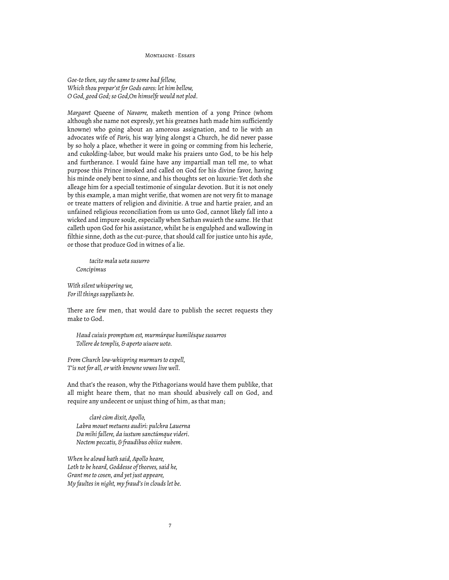*Goe-to then, say the same to some bad fellow, Which thou prepar'st for Gods eares: let him bellow, O God, good God; so God,On himselfe would not plod.*

*Margaret* Queene of *Navarre,* maketh mention of a yong Prince (whom although she name not expresly, yet his greatnes hath made him sufficiently knowne) who going about an amorous assignation, and to lie with an advocates wife of *Paris,* his way lying alongst a Church, he did never passe by so holy a place, whether it were in going or comming from his lecherie, and cukolding-labor, but would make his praiers unto God, to be his help and furtherance. I would faine have any impartiall man tell me, to what purpose this Prince invoked and called on God for his divine favor, having his minde onely bent to sinne, and his thoughts set on luxurie: Yet doth she alleage him for a speciall testimonie of singular devotion. But it is not onely by this example, a man might verifie, that women are not very fit to manage or treate matters of religion and divinitie. A true and hartie praier, and an unfained religious reconciliation from us unto God, cannot likely fall into a wicked and impure soule, especially when Sathan swaieth the same. He that calleth upon God for his assistance, whilst he is engulphed and wallowing in filthie sinne, doth as the cut-purce, that should call for justice unto his ayde, or those that produce God in witnes of a lie.

*tacito mala uota susurro Concipimus*

*With silent whispering we, For ill things suppliants be.*

There are few men, that would dare to publish the secret requests they make to God.

*Haud cuiuis promptum est, murmúrque humilésque susurros Tollere de templis, & aperto uiuere uoto.*

*From Church low-whispring murmurs to expell, T'is not for all, or with knowne vowes live well.*

And that's the reason, why the Pithagorians would have them publike, that all might heare them, that no man should abusively call on God, and require any undecent or unjust thing of him, as that man;

*clarè cùm dixit, Apollo, Labra mouet metuens audiri: pulchra Lauerna Da mihi fallere, da iustum sanctúmque videri. Noctem peccatis, & fraudibus obiice nubem.*

*When he alowd hath said, Apollo heare, Loth to be heard, Goddesse of theeves, said he, Grant me to cosen, and yet just appeare, My faultes in night, my fraud's in clouds let be.*